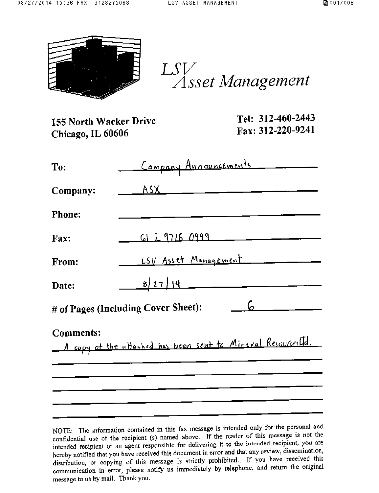

 $LSV$  $\widetilde{\triangle}$ Sset Management

| 155 North Wacker Drive<br>Chicago, IL 60606 |                                     | Tel: 312-460-2443<br>Fax: 312-220-9241                    |
|---------------------------------------------|-------------------------------------|-----------------------------------------------------------|
| To:                                         | <u>Company Announcements</u>        |                                                           |
| Company:                                    | A                                   |                                                           |
| <b>Phone:</b>                               |                                     |                                                           |
| Fax:                                        |                                     | 61297780999                                               |
| From:                                       |                                     | LSV Asset Management                                      |
| Date:                                       | 8/27/14                             |                                                           |
|                                             | # of Pages (Including Cover Sheet): | ၆ -                                                       |
| <b>Comments:</b>                            |                                     | A copy of the altached has been sent to Mineral Resources |
|                                             |                                     |                                                           |

NOTE: The information contained in this fax message is intended only for the personal and confidential use of the recipient (s) named above. If the reader of this message is not the intended recipient or an agent responsible for delivering it to the intended recipient, you are hereby notified that you have received this document in error and that any review, dissemination, distribution, or copying of this message is strictly prohibited. If you have received this communication in error, please notify us immediately by telephone, and return the original message to us by mail. Thank you.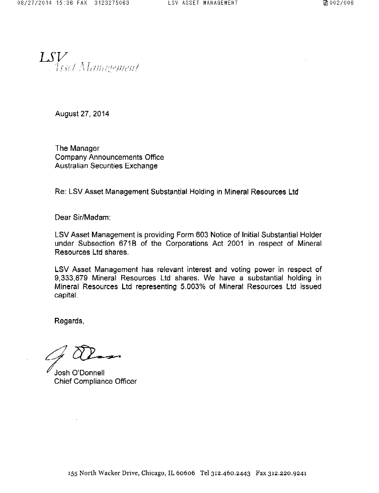LSV. Menagement

August 27, 2014

The Manager Company Announcements Office Australian Securities Exchange

Re: LSV Asset Management Substantial Holding in Mineral Resources Ltd

Dear Sir/Madam:

LSV Asset Management is providing Form 603 Notice of Initial Substantial Holder under Subsection 671B of the Corporations Act 2001 in respect of Mineral Resources Ltd shares.

LSV Asset Management has relevant interest and voting power in respect of 9,333,879 Mineral Resources Ltd shares. We have a substantial holding in Mineral Resources Ltd representing 5.003% of Mineral Resources Ltd issued capital.

Regards,

Josh O'Donnell Chief Compliance Officer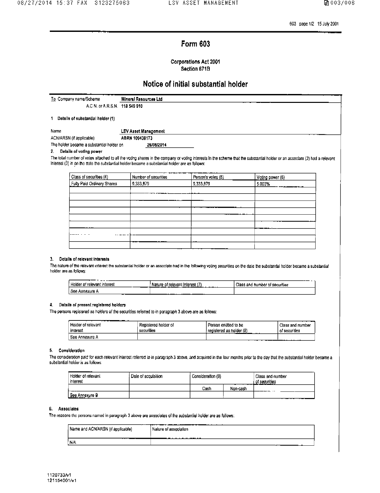603 page 1/2 15 July 2001

### **Form 603**

### Corporations Act 2001 Section 671B

### Notice of initial substantial holder

| To Company name/Scheme            | Mineral Resources Ltd       |
|-----------------------------------|-----------------------------|
| A.C.N. or A.R.S.N. 118 549 910    |                             |
|                                   |                             |
| Datalle of substantial holder (1) |                             |
| Name                              | <b>LSV Asset Management</b> |
|                                   |                             |
|                                   | . <i>.</i>                  |

| ACN/ARSN (if applicable)                  | ABRN 109438173 |  |
|-------------------------------------------|----------------|--|
| The holder became a substantial holder on | 26/08/2014     |  |

### 2. Details of voting power

The total number of votes attached to all the voting shares in the company or voting interests in the scheme that the substantial holder or an associate (2) had a relevant Interest (3) in on the date the substantial holder became a substantial holder are as follows:

| Class of securities (4)    | -------<br>Number of securities | Person's voles (5) | Voting power (6)    |
|----------------------------|---------------------------------|--------------------|---------------------|
| Fully Paid Ordinary Shares | 9 3 3 3 9 7 9                   | 9,333,879          | 5.003%<br>---<br>__ |
|                            |                                 |                    |                     |
|                            |                                 |                    |                     |
|                            |                                 |                    |                     |
|                            |                                 |                    |                     |
|                            |                                 |                    |                     |
|                            |                                 |                    |                     |
|                            |                                 |                    |                     |
|                            |                                 |                    |                     |
|                            |                                 |                    |                     |

### 3. Details of relevant Interests

The nature of the relevant interest the substantial holder or an associate had in the following voling securities on the date the substantial holder became a substantial holder are as follows:

| --------<br>Holder of relevant interest | , of relevant interest<br>Nature<br>______<br>--- | ---<br>Class and humber of securities |
|-----------------------------------------|---------------------------------------------------|---------------------------------------|
| Soo<br>Annazura                         | ---                                               |                                       |

### 4. Details of present registered holders

The persons registered as holders of the securities referred to in paragraph 3 above are as follows:

| .<br>Holder of relevant<br>interest | Registered holder of<br>securities | l Person entitled to be<br>registered as holder (8)<br>. | Class and number<br>of securities |
|-------------------------------------|------------------------------------|----------------------------------------------------------|-----------------------------------|
| See Annexure A                      |                                    |                                                          | --------                          |

### 5. Consideration

The consideration paid for each relevant interest referred to in paragraph 3 above, and acquired in the four months prior to the day that the substantial holder became a substantial holder is as follows

| Holder of relevant<br>interest | Dale of acquisition | Consideration (9) |          | Class and number<br>of securities |
|--------------------------------|---------------------|-------------------|----------|-----------------------------------|
|                                |                     | Cash              | Non-cash | ______                            |
| See Annexure B<br>.            |                     |                   |          | __                                |

### 6. Associates

The reasons the persons named in paragraph 3 above are associates of the substantial holder are as follows:

| Name and ACN/ARSN (if applicable) | Nature of association<br>. |
|-----------------------------------|----------------------------|
| N/A                               |                            |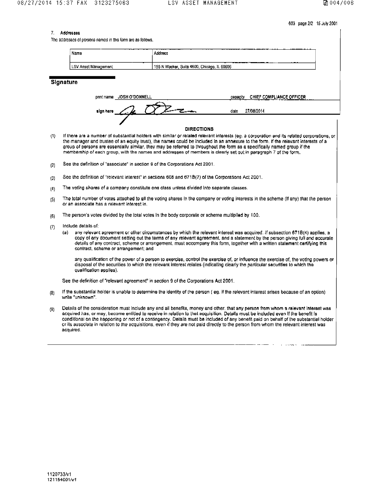603 page 2/2 15 July 2001

The addresses of persons named in this form are as follows.

| Name                 | <b>START CARD AND THE</b><br>Address                 |
|----------------------|------------------------------------------------------|
| LSV Asset Management | ---<br>' 155 N Wacker, Suite 4600, Chicago, IL 60606 |

**Signature** 

| JOSH O'DONNELL<br>pnnt name | CHIEF COMPLIANCE OFFICER<br>capacity<br>. |
|-----------------------------|-------------------------------------------|
| sign here                   | 27/08/2014<br>date                        |
|                             |                                           |

### **DIRECTIONS**

- If there are a number of substantial holders with similar or related relevant interests (eg. a corporation and its related corporations, or  $(1)$ the manager and trustee of an equity trust), the names could be included in an annexure to the form. If the relevant interests of a group of persons are essentially similar, they may be referred to throughout the form as a specifically named group if the membership of each group, with the names and addresses of members is clearly set out in peragraph 7 of the form,
- See the definition of "associate" in section 9 of the Corporations Act 2001.  $(2)$
- See the definition of "relevant interest" in sections 608 and 671B(7) of the Corporations Act 2001.  $(3)$
- The voting shares of a company constitute one class unless divided into separate classes.  $\langle 0 \rangle$
- The total number of votes attached to all the voting shares in the company or voting interests in the scheme (If any) that the person  $(5)$ or an associate has a relevant interest in.
- The person's votes divided by the total votes in the body corporate or scheme multiplied by 100.  $(E)$
- Include details of:  $(7)$ 
	- any relevant agreement or other circumstances by which the relevant interest was acquired. If subsection 671B(4) applies, a  $(a)$ copy of any document setting out the terms of any relevant agreement, and a statement by the person giving full and accurate details of any contract, scheme or arrangement, must accompany this form, together with a written statement certifying this contract, scheme or arrangement; and

any qualification of the power of a person to exercise, control the exercise of, or influence the exercise of, the voting powers or disposal of the securities to which the relevant interest relates (indicating clearly the particular securities to which the qualification applies).

See the definition of "relevant agreement" in section 9 of the Corporations Act 2001.

- If the substantial holder is unable to determine the identity of the person (eg. if the relevant interest arises because of an option)  $(8)$ write "unknown".
- Details of the consideration must include any and all benefits, money and other, that any person from whom a relevant interest was  $(9)$ acquired has, or may, become entitled to receive in relation to that acquisition. Details must be included even if the benefit is conditional on the happening or not of a contingency. Details must be included of any benefit paid on behalf of the substantial holder or its associate in relation to the acquisitions, even if they are not paid directly to the person from whom the relevant interest was acquired.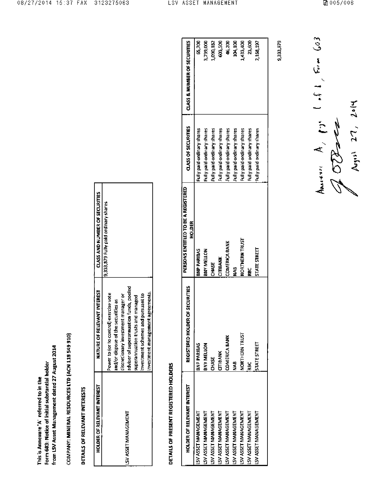|                                        | Form 603: Notice of initial substantial holder | from LSV Asset Management dated 27 August 2014 |
|----------------------------------------|------------------------------------------------|------------------------------------------------|
| This is Annexure 'A referred to in the |                                                |                                                |
|                                        |                                                |                                                |

COMPANY: MINERAL RESOURCES LTD (ACN 118 549 910)

## DETAILS OF RELEVANT INTERESTS

| <b>HOLDER OF RELEVANT INTEREST</b> | NATURE OF RELEVANT INTEREST             | <b>CLASS AND NUMBER OF SECURITIES</b> |
|------------------------------------|-----------------------------------------|---------------------------------------|
|                                    | Power to for to controll exercise vote  | 9,333,879 Fully paid ordinary shares  |
|                                    | and/or dispose of the securities as     |                                       |
|                                    | discretionary investment manager or     |                                       |
| LANGUARAN LISSA ASI                | adviser of superannuation funds, pooled |                                       |
|                                    | superannuation trusts and managed       |                                       |
|                                    | al vestment schemes and pursuant to     |                                       |
|                                    | nvestment management agreements.        |                                       |

# DETAILS OF PRESENT REGISTERED HOLDERS

| <b>HOLDER OF RELEVANT INTEREST</b> | REGISTERED HOLDER OF SECURITIES | PERSONS ENTITLED TO BE A REGISTERED<br>HOLDER | <b>CLASS OF SECURITIES</b> | <b>CLASS &amp; NUMBER OF SECURITIES</b> |
|------------------------------------|---------------------------------|-----------------------------------------------|----------------------------|-----------------------------------------|
| <b>SV ASSET MANAGEMENT</b>         | <b>BNP PARIBAS</b>              | <b>BNP PARIBAS</b>                            | Fully paid ordinary shares | 65,700                                  |
| <b>SV ASSET MANAGEMENT</b>         | BNY MELLON                      | <b>BMA ANEITOM</b>                            | Fully paid ordinary shares | 3,799.000                               |
| <b>SV ASSET MAMAGEMENT</b>         | <b>SHAGE</b>                    | <b>CHASE</b>                                  | Fully paid ordinary shares | 1,090,182                               |
| LSV ASSET MANAGEMENT               | <b>СТРАМК</b>                   | <b>CITIBANK</b>                               | Fully paid ordinary shares | 80,500                                  |
| LSV ASSET MANAGEMENT               | <b>COMERICA BANK</b>            | <b>COMERICA BANK</b>                          | Fully paid ordinary shares | 46,200                                  |
| LSV ASSET MANAGEMENT               | 9<br>2                          | 9<br>Z                                        | Fully paid ordinary shares | 104,100                                 |
| LSY ASSET MANAGEMENT               | NORTHERN TRUST                  | <b>LSDRL AGENLEON</b>                         | Fully paid ordinary shares | 1433.400                                |
| LSV ASSET MANAGEMENT               | 높                               | E                                             | Fully paid ordinary shares | Si<br>Si                                |
| LSV ASSET MANAGEMENT               | STATE STREET                    | STATE STREET                                  | Fully paid ordinary shares | 2,168,197                               |
|                                    |                                 |                                               |                            |                                         |

9,333,879

■ 005/006

America A, 17. 1.1, Fum 603